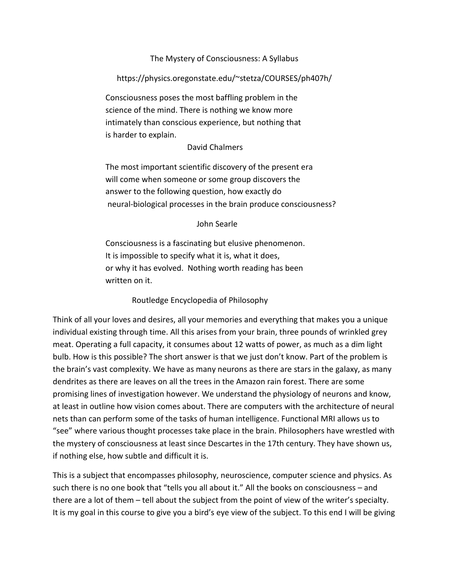## The Mystery of Consciousness: A Syllabus

https://physics.oregonstate.edu/~stetza/COURSES/ph407h/

Consciousness poses the most baffling problem in the science of the mind. There is nothing we know more intimately than conscious experience, but nothing that is harder to explain.

## David Chalmers

The most important scientific discovery of the present era will come when someone or some group discovers the answer to the following question, how exactly do neural-biological processes in the brain produce consciousness?

## John Searle

Consciousness is a fascinating but elusive phenomenon. It is impossible to specify what it is, what it does, or why it has evolved. Nothing worth reading has been written on it.

## Routledge Encyclopedia of Philosophy

Think of all your loves and desires, all your memories and everything that makes you a unique individual existing through time. All this arises from your brain, three pounds of wrinkled grey meat. Operating a full capacity, it consumes about 12 watts of power, as much as a dim light bulb. How is this possible? The short answer is that we just don't know. Part of the problem is the brain's vast complexity. We have as many neurons as there are stars in the galaxy, as many dendrites as there are leaves on all the trees in the Amazon rain forest. There are some promising lines of investigation however. We understand the physiology of neurons and know, at least in outline how vision comes about. There are computers with the architecture of neural nets than can perform some of the tasks of human intelligence. Functional MRI allows us to "see" where various thought processes take place in the brain. Philosophers have wrestled with the mystery of consciousness at least since Descartes in the 17th century. They have shown us, if nothing else, how subtle and difficult it is.

This is a subject that encompasses philosophy, neuroscience, computer science and physics. As such there is no one book that "tells you all about it." All the books on consciousness – and there are a lot of them – tell about the subject from the point of view of the writer's specialty. It is my goal in this course to give you a bird's eye view of the subject. To this end I will be giving